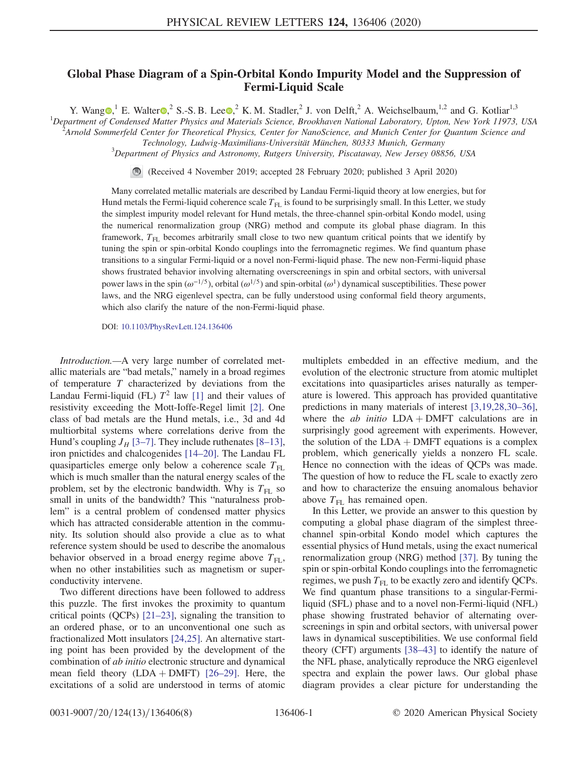## Global Phase Diagram of a Spin-Orbital Kondo Impurity Model and the Suppression of Fermi-Liquid Scale

Y. Wang  $\mathbb{D}$ , E. Walter  $\mathbb{D}$ , S.-S. B. Lee  $\mathbb{D}$ , K. M. Stadler, J. von Delft, A. Weichselbaum, <sup>1,2</sup> and G. Kotliar<sup>1,3</sup>

<sup>1</sup>Department of Condensed Matter Physics and Materials Science, Brookhaven National Laboratory, Upton, New York 11973, USA <sup>2</sup> Arnold Sommarfold Contact for Theoretical Physics Contact for NanoScience, and Munich Center f

Arnold Sommerfeld Center for Theoretical Physics, Center for NanoScience, and Munich Center for Quantum Science and

Technology, Ludwig-Maximilians-Universität München, 80333 Munich, Germany <sup>3</sup>

 $3$ Department of Physics and Astronomy, Rutgers University, Piscataway, New Jersey 08856, USA

(Received 4 November 2019; accepted 28 February 2020; published 3 April 2020)

Many correlated metallic materials are described by Landau Fermi-liquid theory at low energies, but for Hund metals the Fermi-liquid coherence scale  $T_{FL}$  is found to be surprisingly small. In this Letter, we study the simplest impurity model relevant for Hund metals, the three-channel spin-orbital Kondo model, using the numerical renormalization group (NRG) method and compute its global phase diagram. In this framework, T<sub>FL</sub> becomes arbitrarily small close to two new quantum critical points that we identify by tuning the spin or spin-orbital Kondo couplings into the ferromagnetic regimes. We find quantum phase transitions to a singular Fermi-liquid or a novel non-Fermi-liquid phase. The new non-Fermi-liquid phase shows frustrated behavior involving alternating overscreenings in spin and orbital sectors, with universal power laws in the spin  $(\omega^{-1/5})$ , orbital  $(\omega^{1/5})$  and spin-orbital  $(\omega^1)$  dynamical susceptibilities. These power laws, and the NRG eigenlevel spectra, can be fully understood using conformal field theory arguments, which also clarify the nature of the non-Fermi-liquid phase.

DOI: [10.1103/PhysRevLett.124.136406](https://doi.org/10.1103/PhysRevLett.124.136406)

Introduction.—A very large number of correlated metallic materials are "bad metals," namely in a broad regimes of temperature  $T$  characterized by deviations from the Landau Fermi-liquid (FL)  $T^2$  law [\[1\]](#page-4-0) and their values of resistivity exceeding the Mott-Ioffe-Regel limit [\[2\]](#page-4-1). One class of bad metals are the Hund metals, i.e., 3d and 4d multiorbital systems where correlations derive from the Hund's coupling  $J_H$  [3–[7\]](#page-4-2). They include ruthenates [8–[13\]](#page-4-3), iron pnictides and chalcogenides [14–[20\].](#page-5-0) The Landau FL quasiparticles emerge only below a coherence scale  $T_{\text{FL}}$ which is much smaller than the natural energy scales of the problem, set by the electronic bandwidth. Why is  $T_{\text{FL}}$  so small in units of the bandwidth? This "naturalness problem" is a central problem of condensed matter physics which has attracted considerable attention in the community. Its solution should also provide a clue as to what reference system should be used to describe the anomalous behavior observed in a broad energy regime above  $T_{\text{FL}}$ , when no other instabilities such as magnetism or superconductivity intervene.

Two different directions have been followed to address this puzzle. The first invokes the proximity to quantum critical points (QCPs) [\[21](#page-5-1)–23], signaling the transition to an ordered phase, or to an unconventional one such as fractionalized Mott insulators [\[24,25\]](#page-5-2). An alternative starting point has been provided by the development of the combination of ab initio electronic structure and dynamical mean field theory  $(LDA + DMFT)$  [26–[29\].](#page-5-3) Here, the excitations of a solid are understood in terms of atomic multiplets embedded in an effective medium, and the evolution of the electronic structure from atomic multiplet excitations into quasiparticles arises naturally as temperature is lowered. This approach has provided quantitative predictions in many materials of interest [\[3,19,28,30](#page-4-2)–36], where the *ab initio*  $LDA + DMFT$  calculations are in surprisingly good agreement with experiments. However, the solution of the  $LDA + DMFT$  equations is a complex problem, which generically yields a nonzero FL scale. Hence no connection with the ideas of QCPs was made. The question of how to reduce the FL scale to exactly zero and how to characterize the ensuing anomalous behavior above  $T_{\text{FL}}$  has remained open.

In this Letter, we provide an answer to this question by computing a global phase diagram of the simplest threechannel spin-orbital Kondo model which captures the essential physics of Hund metals, using the exact numerical renormalization group (NRG) method [\[37\].](#page-5-4) By tuning the spin or spin-orbital Kondo couplings into the ferromagnetic regimes, we push  $T_{FL}$  to be exactly zero and identify QCPs. We find quantum phase transitions to a singular-Fermiliquid (SFL) phase and to a novel non-Fermi-liquid (NFL) phase showing frustrated behavior of alternating overscreenings in spin and orbital sectors, with universal power laws in dynamical susceptibilities. We use conformal field theory (CFT) arguments [\[38](#page-5-5)–43] to identify the nature of the NFL phase, analytically reproduce the NRG eigenlevel spectra and explain the power laws. Our global phase diagram provides a clear picture for understanding the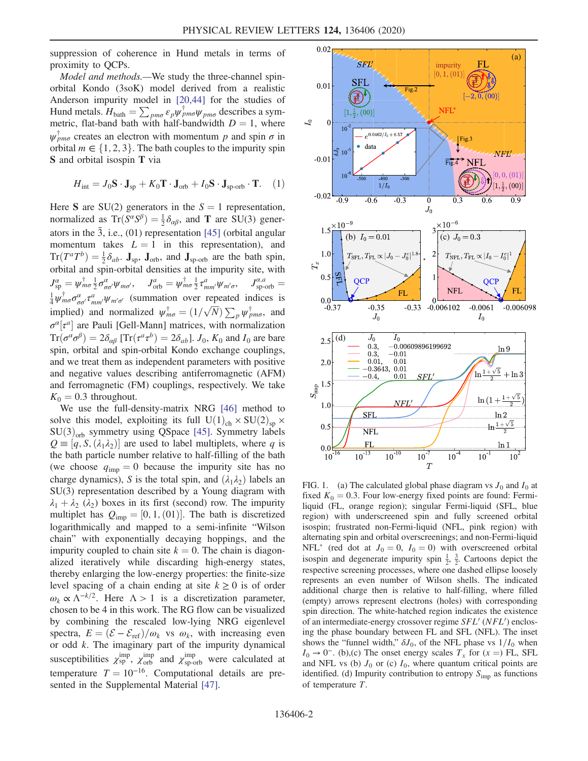suppression of coherence in Hund metals in terms of proximity to QCPs.

Model and methods.—We study the three-channel spinorbital Kondo (3soK) model derived from a realistic Anderson impurity model in [\[20,44\]](#page-5-6) for the studies of Hund metals.  $H_{\text{bath}} = \sum_{p m \sigma} \varepsilon_p \psi_{p m \sigma}^{\dagger} \psi_{p m \sigma}$  describes a symmetric flat-hand bath with half-handwidth  $D - 1$  where metric, flat-band bath with half-bandwidth  $D = 1$ , where  $\psi_{pm\sigma}^{\dagger}$  creates an electron with momentum p and spin  $\sigma$  in orbital  $m \in \{1, 2, 3\}$ . The bath couples to the impurity spin S and orbital isospin T via

$$
H_{\text{int}} = J_0 \mathbf{S} \cdot \mathbf{J}_{\text{sp}} + K_0 \mathbf{T} \cdot \mathbf{J}_{\text{orb}} + I_0 \mathbf{S} \cdot \mathbf{J}_{\text{sp-orb}} \cdot \mathbf{T}.
$$
 (1)

Here S are SU(2) generators in the  $S = 1$  representation, normalized as  $Tr(S^{\alpha}S^{\beta}) = \frac{1}{2}\delta_{\alpha\beta}$ , and **T** are SU(3) gener-<br>atom in the  $\overline{3}$  i.e. (01) representation [45] (orbital angular ators in the  $\bar{3}$ , i.e., (01) representation [\[45\]](#page-5-7) (orbital angular momentum takes  $L = 1$  in this representation), and  $Tr(T^aT^b) = \frac{1}{2}\delta_{ab}$ . J<sub>sp</sub>, J<sub>orb</sub>, and J<sub>sp-orb</sub> are the bath spin,<br>orbital and spin-orbital densities at the impurity site with orbital and spin-orbital densities at the impurity site, with  $J_{\rm sp}^{\alpha} = \psi_{m\sigma}^{\dagger} \frac{1}{2} \sigma_{\sigma\sigma'}^{\alpha} \psi_{m\sigma'}, \quad J_{\rm orb}^{a} = \psi_{m\sigma}^{\dagger} \frac{1}{2} \tau_{mm'}^a \psi_{m'\sigma}, \quad J_{\rm sp\text{-}orb}^{\alpha, a} = \frac{1}{4} \psi_{m\sigma}^{\dagger} \sigma_{\sigma\sigma'}^{\alpha} \tau_{mm'}^a \psi_{m'\sigma'}$  (summation over repeated indices is implied) and normalized  $\psi_{m\sigma}^{\dagger} = (1/\sqrt{N}) \sum_{p} \psi_{p\sigma}^{\dagger}$ , and  $\sigma^{\alpha}[\tau^a]$  are Pauli [Gell-Mann] matrices, with normalization<br> $Tr(\sigma^{\alpha}\sigma^{\beta}) = 2\delta$ . [ $Tr(\tau^{a}\tau^{b}) = 2\delta$ .] L. K, and L are hard  $Tr(\sigma^{\alpha}\sigma^{\beta})=2\delta_{\alpha\beta}$  [Tr $(\tau^a\tau^b)=2\delta_{ab}$ ].  $J_0$ ,  $K_0$  and  $I_0$  are bare spin, orbital and spin-orbital Kondo exchange couplings, and we treat them as independent parameters with positive and negative values describing antiferromagnetic (AFM) and ferromagnetic (FM) couplings, respectively. We take  $K_0 = 0.3$  throughout.

We use the full-density-matrix NRG [\[46\]](#page-5-8) method to solve this model, exploiting its full  $U(1)_{ch} \times SU(2)_{sp} \times$  $SU(3)_{\text{orb}}$  symmetry using QSpace [\[45\].](#page-5-7) Symmetry labels  $Q \equiv [q, S, (\lambda_1 \lambda_2)]$  are used to label multiplets, where q is<br>the bath particle number relative to half-filling of the bath the bath particle number relative to half-filling of the bath (we choose  $q_{\text{imp}} = 0$  because the impurity site has no charge dynamics), S is the total spin, and  $(\lambda_1 \lambda_2)$  labels an SU(3) representation described by a Young diagram with  $\lambda_1 + \lambda_2$  ( $\lambda_2$ ) boxes in its first (second) row. The impurity multiplet has  $Q_{\text{imp}} = [0, 1, (01)]$ . The bath is discretized<br>logarithmically and manned to a semi-infinite "Wilson logarithmically and mapped to a semi-infinite "Wilson chain" with exponentially decaying hoppings, and the impurity coupled to chain site  $k = 0$ . The chain is diagonalized iteratively while discarding high-energy states, thereby enlarging the low-energy properties: the finite-size level spacing of a chain ending at site  $k \geq 0$  is of order  $\omega_k \propto \Lambda^{-k/2}$ . Here  $\Lambda > 1$  is a discretization parameter, chosen to be 4 in this work. The RG flow can be visualized by combining the rescaled low-lying NRG eigenlevel spectra,  $E = (\mathcal{E} - \mathcal{E}_{ref})/\omega_k$  vs  $\omega_k$ , with increasing even or odd k. The imaginary part of the impurity dynamical susceptibilities  $\chi_{\rm sp}^{\rm imp}$ ,  $\chi_{\rm orb}^{\rm imp}$  and  $\chi_{\rm sp-orb}^{\rm imp}$  were calculated at temperature  $T = 10^{-16}$ . Computational details are presented in the Supplemental Material [\[47\].](#page-6-0)

<span id="page-1-0"></span>

FIG. 1. (a) The calculated global phase diagram vs  $J_0$  and  $I_0$  at fixed  $K_0 = 0.3$ . Four low-energy fixed points are found: Fermiliquid (FL, orange region); singular Fermi-liquid (SFL, blue region) with underscreened spin and fully screened orbital isospin; frustrated non-Fermi-liquid (NFL, pink region) with alternating spin and orbital overscreenings; and non-Fermi-liquid NFL\* (red dot at  $J_0 = 0$ ,  $I_0 = 0$ ) with overscreened orbital isospin and degenerate impurity spin  $\frac{1}{2}$ ,  $\frac{3}{2}$ . Cartoons depict the respective screening processes, where one dashed ellipse loosely represents an even number of Wilson shells. The indicated additional charge then is relative to half-filling, where filled (empty) arrows represent electrons (holes) with corresponding spin direction. The white-hatched region indicates the existence of an intermediate-energy crossover regime  $SFL'$  ( $NFL'$ ) enclosing the phase boundary between FL and SFL (NFL). The inset shows the "funnel width,"  $\delta J_0$ , of the NFL phase vs  $1/I_0$  when  $I_0 \rightarrow 0^-$ . (b),(c) The onset energy scales  $T_x$  for  $(x =)$  FL, SFL and NFL vs (b)  $J_0$  or (c)  $I_0$ , where quantum critical points are identified. (d) Impurity contribution to entropy  $S_{\text{imp}}$  as functions of temperature T.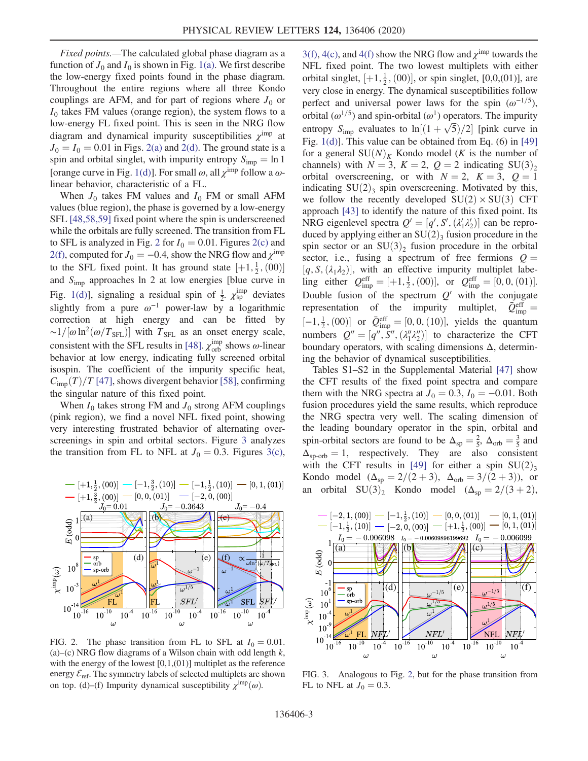Fixed points.—The calculated global phase diagram as a function of  $J_0$  and  $I_0$  is shown in Fig. [1\(a\)](#page-1-0). We first describe the low-energy fixed points found in the phase diagram. Throughout the entire regions where all three Kondo couplings are AFM, and for part of regions where  $J_0$  or  $I_0$  takes FM values (orange region), the system flows to a low-energy FL fixed point. This is seen in the NRG flow diagram and dynamical impurity susceptibilities  $\chi^{\text{imp}}$  at  $J_0 = I_0 = 0.01$  in Figs. [2\(a\)](#page-2-0) and [2\(d\)](#page-2-0). The ground state is a spin and orbital singlet, with impurity entropy  $S_{\text{imp}} = \ln 1$ [orange curve in Fig. [1\(d\)](#page-1-0)]. For small  $\omega$ , all  $\chi^{\text{imp}}$  follow a  $\omega$ linear behavior, characteristic of a FL.

When  $J_0$  takes FM values and  $I_0$  FM or small AFM values (blue region), the phase is governed by a low-energy SFL [\[48,58,59\]](#page-6-1) fixed point where the spin is underscreened while the orbitals are fully screened. The transition from FL to SFL is analyzed in Fig. [2](#page-2-0) for  $I_0 = 0.01$ . Figures [2\(c\)](#page-2-0) and [2\(f\)](#page-2-0), computed for  $J_0 = -0.4$ , show the NRG flow and  $\chi^{\text{imp}}$ to the SFL fixed point. It has ground state  $[+1, \frac{1}{2}, (00)]$ <br>and S<sub>p</sub> approaches ln 2 at low energies [blue curve in and  $S_{\text{imp}}$  approaches ln 2 at low energies [blue curve in Fig. [1\(d\)\]](#page-1-0), signaling a residual spin of  $\frac{1}{2}$ .  $\chi_{sp}^{imp}$  deviates slightly from a pure  $\omega^{-1}$  power-law by a logarithmic correction at high energy and can be fitted by ~1/[ $\omega \ln^2(\omega/T_{\rm SFL})$ ] with T<sub>SFL</sub> as an onset energy scale, consistent with the SFL results in [\[48\].](#page-6-1)  $\chi_{\text{orb}}^{\text{imp}}$  shows  $\omega$ -linear behavior at low energy, indicating fully screened orbital isospin. The coefficient of the impurity specific heat,  $C_{\text{imp}}(T)/T$  [\[47\]](#page-6-0), shows divergent behavior [\[58\]](#page-6-2), confirming the singular nature of this fixed point.

When  $I_0$  takes strong FM and  $J_0$  strong AFM couplings (pink region), we find a novel NFL fixed point, showing very interesting frustrated behavior of alternating overscreenings in spin and orbital sectors. Figure [3](#page-2-1) analyzes the transition from FL to NFL at  $J_0 = 0.3$ . Figures [3\(c\)](#page-2-1),

<span id="page-2-0"></span>

FIG. 2. The phase transition from FL to SFL at  $I_0 = 0.01$ . (a)–(c) NRG flow diagrams of a Wilson chain with odd length  $k$ , with the energy of the lowest  $[0,1,(01)]$  multiplet as the reference energy  $\mathcal{E}_{\text{ref}}$ . The symmetry labels of selected multiplets are shown on top. (d)–(f) Impurity dynamical susceptibility  $\chi^{\text{imp}}(\omega)$ .

[3\(f\)](#page-2-1), [4\(c\),](#page-3-0) and [4\(f\)](#page-3-0) show the NRG flow and  $\chi^{\text{imp}}$  towards the NFL fixed point. The two lowest multiplets with either orbital singlet,  $[+1, \frac{1}{2}, (00)]$ , or spin singlet,  $[0,0,01]$ , are<br>very close in energy. The dynamical susceptibilities follow very close in energy. The dynamical susceptibilities follow perfect and universal power laws for the spin  $(\omega^{-1/5})$ , orbital ( $\omega^{1/5}$ ) and spin-orbital ( $\omega^1$ ) operators. The impurity entropy  $S_{\text{imp}}$  evaluates to  $\ln[(1+\sqrt{5})/2]$  [pink curve in Fig. 1(d)]. This value can be obtained from Eq. (6) in [40]. Fig. [1\(d\)\]](#page-1-0). This value can be obtained from Eq. (6) in [\[49\]](#page-6-3) for a general  $SU(N)<sub>K</sub>$  Kondo model (K is the number of channels) with  $N = 3$ ,  $K = 2$ ,  $Q = 2$  indicating SU(3)<sub>2</sub> orbital overscreening, or with  $N = 2$ ,  $K = 3$ ,  $Q = 1$ indicating  $SU(2)$ <sub>3</sub> spin overscreening. Motivated by this, we follow the recently developed  $SU(2) \times SU(3)$  CFT approach [\[43\]](#page-5-9) to identify the nature of this fixed point. Its NRG eigenlevel spectra  $Q' = [q', S', (\lambda'_1 \lambda'_2)]$  can be repro-<br>duced by applying either an SU(2), fusion procedure in the Fix experience is pectra  $Q = [q, 3, (a_1 a_2)]$  can be reproduced by applying either an SU(2)<sub>3</sub> fusion procedure in the orbital spin sector or an  $SU(3)_2$  fusion procedure in the orbital sector, i.e., fusing a spectrum of free fermions  $Q =$  $[q, S, (\lambda_1 \lambda_2)]$ , with an effective impurity multiplet labe-<br> $\lim_{\epsilon \to 0}$  either  $Q^{\text{eff}} = +1 \frac{1}{2} (00)$  or  $Q^{\text{eff}} = [0, 0, (01)]$ ling either  $Q_{\text{imp}}^{\text{eff}} = [+1, \frac{1}{2}, (00)]$ , or  $Q_{\text{imp}}^{\text{eff}} = [0, 0, (01)]$ . Double fusion of the spectrum  $Q'$  with the conjugate representation of the impurity multiplet,  $\bar{Q}_{\text{imp}}^{\text{eff}} =$ representation of the impurity multiplet,  $[-1, \frac{1}{2}, (00)]$  or  $\bar{Q}_{\text{imp}}^{\text{eff}} = [0, 0, (10)]$ , yields the quantum<br>numbers  $Q'' = [e''] [Q''T'']$  to oberecterize the GET numbers  $Q'' = [q'', S'', (\lambda_1'' \lambda_2'')]$  to characterize the CFT<br>boundary operators with scaling dimensions A determinboundary operators, with scaling dimensions  $\Delta$ , determining the behavior of dynamical susceptibilities.

Tables S1–S2 in the Supplemental Material [\[47\]](#page-6-0) show the CFT results of the fixed point spectra and compare them with the NRG spectra at  $J_0 = 0.3$ ,  $I_0 = -0.01$ . Both fusion procedures yield the same results, which reproduce the NRG spectra very well. The scaling dimension of the leading boundary operator in the spin, orbital and spin-orbital sectors are found to be  $\Delta_{\text{sp}} = \frac{2}{5}$ ,  $\Delta_{\text{orb}} = \frac{3}{5}$  and  $\Delta_{\text{sp}} = 1$  respectively. They are also consistent  $\Delta_{\text{sp-orb}} = 1$ , respectively. They are also consistent with the CFT results in [\[49\]](#page-6-3) for either a spin  $SU(2)_{3}$ Kondo model  $(\Delta_{\text{sp}} = 2/(2+3), \Delta_{\text{orb}} = 3/(2+3))$ , or an orbital  $SU(3)_2$  Kondo model  $(\Delta_{sp} = 2/(3 + 2))$ ,

<span id="page-2-1"></span>

FIG. 3. Analogous to Fig. [2,](#page-2-0) but for the phase transition from FL to NFL at  $J_0 = 0.3$ .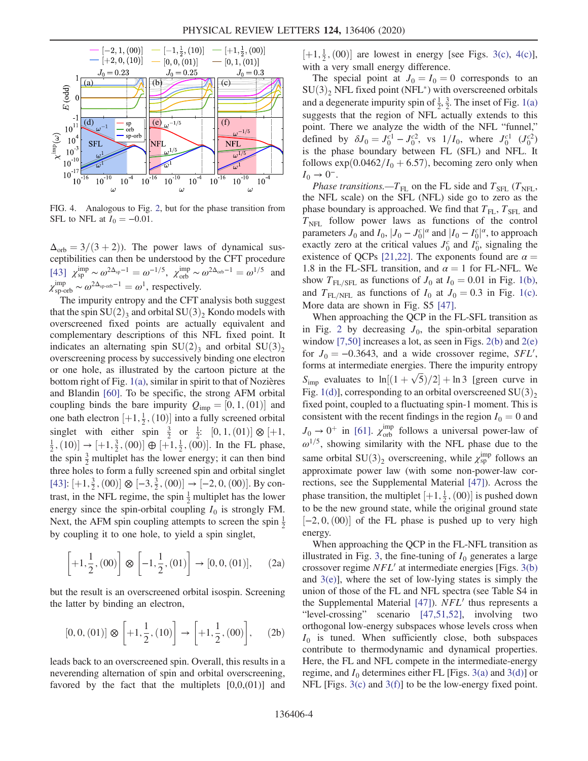<span id="page-3-0"></span>

FIG. 4. Analogous to Fig. [2,](#page-2-0) but for the phase transition from SFL to NFL at  $I_0 = -0.01$ .

 $\Delta_{\rm orb} = 3/(3 + 2)$ ). The power laws of dynamical susceptibilities can then be understood by the CFT procedure  $[43]$   $\chi_{sp}^{imp} \sim \omega^{2\Delta_{sp}-1} = \omega^{-1/5}$ ,  $\chi_{orb}^{imp} \sim \omega^{2\Delta_{orb}-1} = \omega^{1/5}$  and  $\chi_{\text{sp-orb}}^{\text{imp}} \sim \omega^{2\Delta_{\text{sp-orb}}-1} = \omega^1$ , respectively.<br>The impurity entropy and the CET

The impurity entropy and the CFT analysis both suggest that the spin  $SU(2)$ <sub>3</sub> and orbital  $SU(3)$ <sub>2</sub> Kondo models with overscreened fixed points are actually equivalent and complementary descriptions of this NFL fixed point. It indicates an alternating spin  $SU(2)$ <sub>3</sub> and orbital  $SU(3)$ <sub>2</sub> overscreening process by successively binding one electron or one hole, as illustrated by the cartoon picture at the bottom right of Fig.  $1(a)$ , similar in spirit to that of Nozières and Blandin [\[60\].](#page-6-4) To be specific, the strong AFM orbital coupling binds the bare impurity  $Q_{\text{imp}} = [0, 1, (01)]$  and<br>and both electron  $[1, 1, (10)]$  into a fully separate orbital one bath electron  $[+1, \frac{1}{2}, (10)]$  into a fully screened orbital<br>singlet, with either spin  $\frac{3}{2}$  or  $\frac{1}{2}$ ,  $[0, 1, (01)]$   $\Omega$ ,  $[+1, 1]$ singlet with either spin  $\frac{3}{2}$  or  $\frac{1}{2}$ :  $[0, 1, (01)] \otimes [+1,$ <br>  $\frac{1}{2}$  (10)]  $\rightarrow$  [+1  $\frac{3}{2}$  (00)]  $\oplus$  [+1  $\frac{1}{2}$  (00)] In the EL phase  $\frac{1}{2}$ , (10)]  $\rightarrow$  [+1,  $\frac{3}{2}$ , (00)]  $\oplus$  [+1,  $\frac{1}{2}$ , (00)]. In the FL phase, the spin  $\frac{3}{2}$  multiplet has the lower energy; it can then bind three holes to form a fully screened spin and orbital singlet [\[43\]](#page-5-9):  $[+1, \frac{3}{2}, (00)] \otimes [-3, \frac{3}{2}, (00)] \rightarrow [-2, 0, (00)].$  By contract in the NEL regime, the enin <sup>1</sup> multiplet has the lower trast, in the NFL regime, the spin  $\frac{1}{2}$  multiplet has the lower energy since the spin-orbital coupling  $I_0$  is strongly FM. Next, the AFM spin coupling attempts to screen the spin  $\frac{1}{2}$ by coupling it to one hole, to yield a spin singlet,

$$
\left[+1, \frac{1}{2}, (00)\right] \otimes \left[-1, \frac{1}{2}, (01)\right] \to [0, 0, (01)], \quad (2a)
$$

but the result is an overscreened orbital isospin. Screening the latter by binding an electron,

$$
[0,0,(01)] \otimes \left[+1,\frac{1}{2},(10)\right] \to \left[+1,\frac{1}{2},(00)\right], \quad (2b)
$$

leads back to an overscreened spin. Overall, this results in a neverending alternation of spin and orbital overscreening, favored by the fact that the multiplets  $[0,0,001]$  and

 $[+1, \frac{1}{2}, (00)]$  are lowest in energy [see Figs. [3\(c\)](#page-2-1), [4\(c\)](#page-3-0)], with a very small energy difference.

The special point at  $J_0 = I_0 = 0$  corresponds to an  $SU(3)$ <sub>2</sub> NFL fixed point (NFL<sup>\*</sup>) with overscreened orbitals and a degenerate impurity spin of  $\frac{1}{2}$ ,  $\frac{3}{2}$ . The inset of Fig. [1\(a\)](#page-1-0) suggests that the region of NFL actually extends to this point. There we analyze the width of the NFL "funnel," defined by  $\delta J_0 = J_0^{c1} - J_0^{c2}$ , vs  $1/I_0$ , where  $J_0^{c1}$   $(J_0^{c2})$ <br>is the phase boundary between EL (SEL) and NEL It is the phase boundary between FL (SFL) and NFL. It follows  $\exp(0.0462/I_0 + 6.57)$ , becoming zero only when  $I_0 \to 0^-$ .

Phase transitions.— $T_{FL}$  on the FL side and  $T_{SFL}$  ( $T_{NFL}$ , the NFL scale) on the SFL (NFL) side go to zero as the phase boundary is approached. We find that  $T_{\text{FI}}$ ,  $T_{\text{SFI}}$  and  $T<sub>NFL</sub>$  follow power laws as functions of the control parameters  $J_0$  and  $I_0$ ,  $|J_0 - J_0^c|^{\alpha}$  and  $|I_0 - I_0^c|^{\alpha}$ , to approach exactly zero at the critical values  $I_c^c$  and  $I_c^c$  signaling the parameters  $J_0$  and  $I_0$ ,  $|J_0 - J_0|$  and  $|I_0 - I_0|$ , to approach<br>exactly zero at the critical values  $J_0^c$  and  $I_0^c$ , signaling the existence of QCPs [\[21,22\].](#page-5-1) The exponents found are  $\alpha =$ 1.8 in the FL-SFL transition, and  $\alpha = 1$  for FL-NFL. We show  $T_{\text{FL/SFL}}$  as functions of  $J_0$  at  $I_0 = 0.01$  in Fig. [1\(b\)](#page-1-0), and  $T_{FL/NFL}$  as functions of  $I_0$  at  $J_0 = 0.3$  in Fig. [1\(c\)](#page-1-0). More data are shown in Fig. S5 [\[47\].](#page-6-0)

When approaching the QCP in the FL-SFL transition as in Fig. [2](#page-2-0) by decreasing  $J_0$ , the spin-orbital separation window [\[7,50\]](#page-4-4) increases a lot, as seen in Figs.  $2(b)$  and  $2(e)$ for  $J_0 = -0.3643$ , and a wide crossover regime, *SFL'*, forms at intermediate energies. There the impurity entropy forms at intermediate energies. There the impurity entropy  $S_{\text{imp}}$  evaluates to  $\ln[(1+\sqrt{5})/2] + \ln 3$  [green curve in Fig. 1(d)] corresponding to an orbital overcepaned SU(2). Fig. [1\(d\)\]](#page-1-0), corresponding to an orbital overscreened  $SU(3)_{2}$ fixed point, coupled to a fluctuating spin-1 moment. This is consistent with the recent findings in the region  $I_0 = 0$  and  $J_0 \rightarrow 0^+$  in [\[61\]](#page-6-5).  $\chi_{orb}^{imp}$  follows a universal power-law of  $\omega^{1/5}$ , showing similarity with the NFL phase due to the same orbital  $SU(3)_2$  overscreening, while  $\chi_{sp}^{imp}$  follows an approximate power law (with some non-power-law corapproximate power law (with some non-power-law corrections, see the Supplemental Material [\[47\]\)](#page-6-0). Across the phase transition, the multiplet  $[+1, \frac{1}{2}, (00)]$  is pushed down<br>to be the new ground state, while the original ground state to be the new ground state, while the original ground state  $[-2, 0, (00)]$  of the FL phase is pushed up to very high energy energy.

When approaching the QCP in the FL-NFL transition as illustrated in Fig. [3](#page-2-1), the fine-tuning of  $I_0$  generates a large crossover regime  $NFL'$  at intermediate energies [Figs. [3\(b\)](#page-2-1) and  $3(e)$ , where the set of low-lying states is simply the union of those of the FL and NFL spectra (see Table S4 in the Supplemental Material  $[47]$ ).  $NFL'$  thus represents a "level-crossing" scenario [\[47,51,52\]](#page-6-0), involving two orthogonal low-energy subspaces whose levels cross when  $I_0$  is tuned. When sufficiently close, both subspaces contribute to thermodynamic and dynamical properties. Here, the FL and NFL compete in the intermediate-energy regime, and  $I_0$  determines either FL [Figs. [3\(a\)](#page-2-1) and [3\(d\)\]](#page-2-1) or NFL [Figs. [3\(c\)](#page-2-1) and [3\(f\)\]](#page-2-1) to be the low-energy fixed point.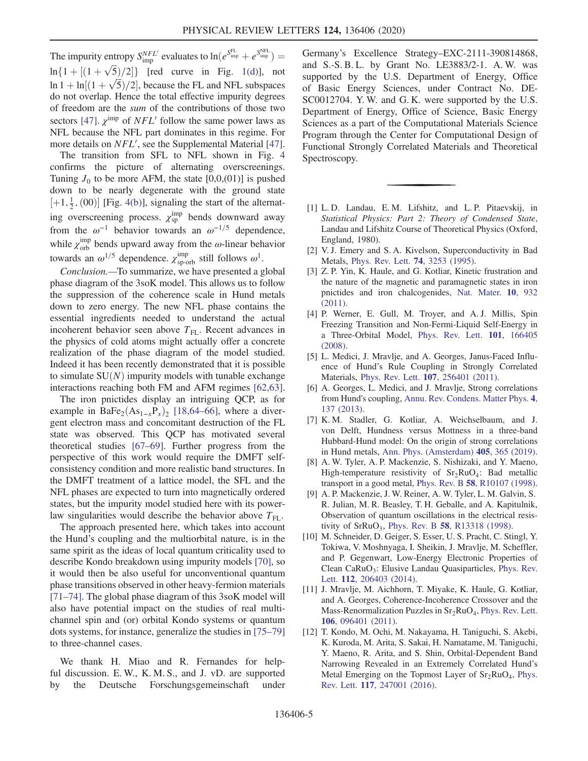The impurity entropy  $S_{\text{imp}}^{NFL}$  evaluates to  $\ln(e^{S_{\text{imp}}^{\text{FL}}} + e^{S_{\text{imp}}^{\text{NFL}}}) =$  $\ln\{1 + \left[\frac{(1+\sqrt{5})}{2}\right]\}\$  [red curve in Fig. [1\(d\)](#page-1-0)], not<br> $\ln 1 + \ln\{1 + \sqrt{5}\}$  (2) because the FL and NFL subgresses  $\ln 1 + \ln[(1 + \sqrt{5})/2]$ , because the FL and NFL subspaces<br>do not overlap. Hence the total effective impurity degrees do not overlap. Hence the total effective impurity degrees of freedom are the sum of the contributions of those two sectors [\[47\]](#page-6-0).  $\chi^{\text{imp}}$  of  $NFL'$  follow the same power laws as NFL because the NFL part dominates in this regime. For more details on  $NFL'$ , see the Supplemental Material [\[47\]](#page-6-0).

The transition from SFL to NFL shown in Fig. [4](#page-3-0) confirms the picture of alternating overscreenings. Tuning  $J_0$  to be more AFM, the state [0,0,(01)] is pushed down to be nearly degenerate with the ground state  $[+1, \frac{1}{2}, (00)]$  [Fig. [4\(b\)\]](#page-3-0), signaling the start of the alternating overscreening process.  $\chi_{sp}^{imp}$  bends downward away from the  $\omega^{-1}$  behavior towards an  $\omega^{-1/5}$  dependence, while  $\chi_{orb}^{imp}$  bends upward away from the  $\omega$ -linear behavior towards an  $\omega^{1/5}$  dependence.  $\chi_{\text{sp-orb}}^{\text{imp}}$  still follows  $\omega^1$ .

Conclusion.—To summarize, we have presented a global phase diagram of the 3soK model. This allows us to follow the suppression of the coherence scale in Hund metals down to zero energy. The new NFL phase contains the essential ingredients needed to understand the actual incoherent behavior seen above  $T_{FL}$ . Recent advances in the physics of cold atoms might actually offer a concrete realization of the phase diagram of the model studied. Indeed it has been recently demonstrated that it is possible to simulate  $SU(N)$  impurity models with tunable exchange interactions reaching both FM and AFM regimes [\[62,63\]](#page-6-6).

The iron pnictides display an intriguing QCP, as for example in BaFe<sub>2</sub>(As<sub>1-x</sub>P<sub>x</sub>)<sub>2</sub> [\[18,64](#page-5-10)–66], where a divergent electron mass and concomitant destruction of the FL state was observed. This QCP has motivated several theoretical studies [\[67](#page-6-7)–69]. Further progress from the perspective of this work would require the DMFT selfconsistency condition and more realistic band structures. In the DMFT treatment of a lattice model, the SFL and the NFL phases are expected to turn into magnetically ordered states, but the impurity model studied here with its powerlaw singularities would describe the behavior above  $T_{\text{FL}}$ .

The approach presented here, which takes into account the Hund's coupling and the multiorbital nature, is in the same spirit as the ideas of local quantum criticality used to describe Kondo breakdown using impurity models [\[70\]](#page-6-8), so it would then be also useful for unconventional quantum phase transitions observed in other heavy-fermion materials [\[71](#page-6-9)–74]. The global phase diagram of this 3soK model will also have potential impact on the studies of real multichannel spin and (or) orbital Kondo systems or quantum dots systems, for instance, generalize the studies in [\[75](#page-6-10)–79] to three-channel cases.

We thank H. Miao and R. Fernandes for helpful discussion. E. W., K. M. S., and J. vD. are supported by the Deutsche Forschungsgemeinschaft under Germany's Excellence Strategy–EXC-2111-390814868, and S.-S. B. L. by Grant No. LE3883/2-1. A. W. was supported by the U.S. Department of Energy, Office of Basic Energy Sciences, under Contract No. DE-SC0012704. Y. W. and G. K. were supported by the U.S. Department of Energy, Office of Science, Basic Energy Sciences as a part of the Computational Materials Science Program through the Center for Computational Design of Functional Strongly Correlated Materials and Theoretical Spectroscopy.

- <span id="page-4-0"></span>[1] L. D. Landau, E. M. Lifshitz, and L. P. Pitaevskij, in Statistical Physics: Part 2: Theory of Condensed State, Landau and Lifshitz Course of Theoretical Physics (Oxford, England, 1980).
- <span id="page-4-2"></span><span id="page-4-1"></span>[2] V. J. Emery and S. A. Kivelson, Superconductivity in Bad Metals, [Phys. Rev. Lett.](https://doi.org/10.1103/PhysRevLett.74.3253) 74, 3253 (1995).
- [3] Z. P. Yin, K. Haule, and G. Kotliar, Kinetic frustration and the nature of the magnetic and paramagnetic states in iron pnictides and iron chalcogenides, [Nat. Mater.](https://doi.org/10.1038/nmat3120) 10, 932 [\(2011\).](https://doi.org/10.1038/nmat3120)
- [4] P. Werner, E. Gull, M. Troyer, and A. J. Millis, Spin Freezing Transition and Non-Fermi-Liquid Self-Energy in a Three-Orbital Model, [Phys. Rev. Lett.](https://doi.org/10.1103/PhysRevLett.101.166405) 101, 166405 [\(2008\).](https://doi.org/10.1103/PhysRevLett.101.166405)
- [5] L. Medici, J. Mravlje, and A. Georges, Janus-Faced Influence of Hund's Rule Coupling in Strongly Correlated Materials, Phys. Rev. Lett. 107[, 256401 \(2011\).](https://doi.org/10.1103/PhysRevLett.107.256401)
- <span id="page-4-4"></span>[6] A. Georges, L. Medici, and J. Mravlje, Strong correlations from Hund's coupling, [Annu. Rev. Condens. Matter Phys.](https://doi.org/10.1146/annurev-conmatphys-020911-125045) 4, [137 \(2013\)](https://doi.org/10.1146/annurev-conmatphys-020911-125045).
- [7] K. M. Stadler, G. Kotliar, A. Weichselbaum, and J. von Delft, Hundness versus Mottness in a three-band Hubbard-Hund model: On the origin of strong correlations in Hund metals, [Ann. Phys. \(Amsterdam\)](https://doi.org/10.1016/j.aop.2018.10.017) 405, 365 (2019).
- <span id="page-4-3"></span>[8] A. W. Tyler, A. P. Mackenzie, S. Nishizaki, and Y. Maeno, High-temperature resistivity of  $Sr_2RuO<sub>4</sub>$ : Bad metallic transport in a good metal, Phys. Rev. B 58[, R10107 \(1998\).](https://doi.org/10.1103/PhysRevB.58.R10107)
- [9] A. P. Mackenzie, J. W. Reiner, A. W. Tyler, L. M. Galvin, S. R. Julian, M. R. Beasley, T. H. Geballe, and A. Kapitulnik, Observation of quantum oscillations in the electrical resistivity of  $SrRuO<sub>3</sub>$ , Phys. Rev. B 58[, R13318 \(1998\)](https://doi.org/10.1103/PhysRevB.58.R13318).
- [10] M. Schneider, D. Geiger, S. Esser, U. S. Pracht, C. Stingl, Y. Tokiwa, V. Moshnyaga, I. Sheikin, J. Mravlje, M. Scheffler, and P. Gegenwart, Low-Energy Electronic Properties of Clean Ca $RuO_3$ : Elusive Landau Quasiparticles, [Phys. Rev.](https://doi.org/10.1103/PhysRevLett.112.206403) Lett. 112[, 206403 \(2014\)](https://doi.org/10.1103/PhysRevLett.112.206403).
- [11] J. Mravlje, M. Aichhorn, T. Miyake, K. Haule, G. Kotliar, and A. Georges, Coherence-Incoherence Crossover and the Mass-Renormalization Puzzles in  $Sr<sub>2</sub>RuO<sub>4</sub>$ , [Phys. Rev. Lett.](https://doi.org/10.1103/PhysRevLett.106.096401) 106[, 096401 \(2011\).](https://doi.org/10.1103/PhysRevLett.106.096401)
- [12] T. Kondo, M. Ochi, M. Nakayama, H. Taniguchi, S. Akebi, K. Kuroda, M. Arita, S. Sakai, H. Namatame, M. Taniguchi, Y. Maeno, R. Arita, and S. Shin, Orbital-Dependent Band Narrowing Revealed in an Extremely Correlated Hund's Metal Emerging on the Topmost Layer of  $Sr<sub>2</sub>RuO<sub>4</sub>$ , [Phys.](https://doi.org/10.1103/PhysRevLett.117.247001) Rev. Lett. 117[, 247001 \(2016\).](https://doi.org/10.1103/PhysRevLett.117.247001)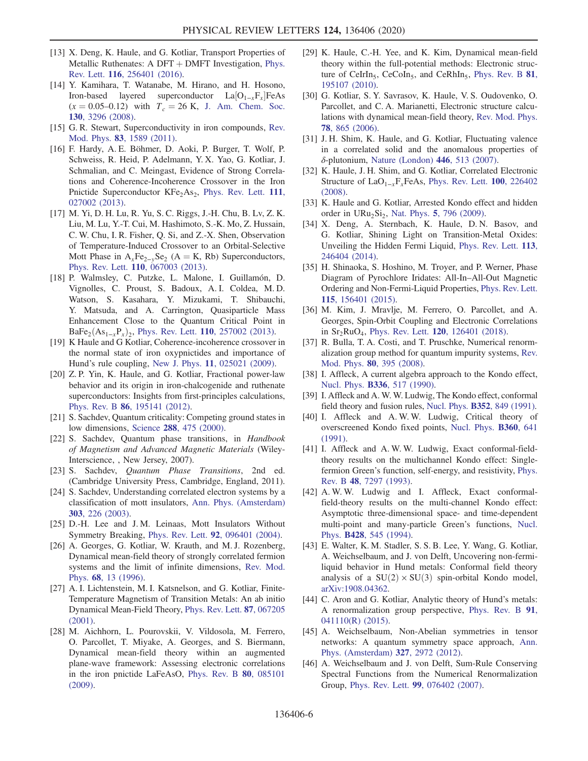- [13] X. Deng, K. Haule, and G. Kotliar, Transport Properties of Metallic Ruthenates:  $A$  DFT + DMFT Investigation, [Phys.](https://doi.org/10.1103/PhysRevLett.116.256401) Rev. Lett. 116[, 256401 \(2016\).](https://doi.org/10.1103/PhysRevLett.116.256401)
- <span id="page-5-0"></span>[14] Y. Kamihara, T. Watanabe, M. Hirano, and H. Hosono, Iron-based layered superconductor  $La[O_{1-x}F_x]FeAs$ <br>(x = 0.05–0.12) with  $T = 26$  K I Am Chem Soc  $(x = 0.05-0.12)$  with  $T_c = 26$  K, [J. Am. Chem. Soc.](https://doi.org/10.1021/ja800073m) 130[, 3296 \(2008\)](https://doi.org/10.1021/ja800073m).
- [15] G. R. Stewart, Superconductivity in iron compounds, [Rev.](https://doi.org/10.1103/RevModPhys.83.1589) Mod. Phys. 83[, 1589 \(2011\)](https://doi.org/10.1103/RevModPhys.83.1589).
- [16] F. Hardy, A. E. Böhmer, D. Aoki, P. Burger, T. Wolf, P. Schweiss, R. Heid, P. Adelmann, Y. X. Yao, G. Kotliar, J. Schmalian, and C. Meingast, Evidence of Strong Correlations and Coherence-Incoherence Crossover in the Iron Pnictide Superconductor  $KFe<sub>2</sub>As<sub>2</sub>$ , [Phys. Rev. Lett.](https://doi.org/10.1103/PhysRevLett.111.027002) 111, [027002 \(2013\).](https://doi.org/10.1103/PhysRevLett.111.027002)
- [17] M. Yi, D. H. Lu, R. Yu, S. C. Riggs, J.-H. Chu, B. Lv, Z. K. Liu, M. Lu, Y.-T. Cui, M. Hashimoto, S.-K. Mo, Z. Hussain, C. W. Chu, I. R. Fisher, Q. Si, and Z.-X. Shen, Observation of Temperature-Induced Crossover to an Orbital-Selective Mott Phase in  $A_xFe_{2-y}Se_2$  (A = K, Rb) Superconductors, Phys. Rev. Lett. 110[, 067003 \(2013\).](https://doi.org/10.1103/PhysRevLett.110.067003)
- <span id="page-5-10"></span>[18] P. Walmsley, C. Putzke, L. Malone, I. Guillamón, D. Vignolles, C. Proust, S. Badoux, A. I. Coldea, M. D. Watson, S. Kasahara, Y. Mizukami, T. Shibauchi, Y. Matsuda, and A. Carrington, Quasiparticle Mass Enhancement Close to the Quantum Critical Point in  $BaFe<sub>2</sub>(As<sub>1-r</sub>P<sub>x</sub>)<sub>2</sub>$ , Phys. Rev. Lett. 110[, 257002 \(2013\).](https://doi.org/10.1103/PhysRevLett.110.257002)
- [19] K Haule and G Kotliar, Coherence-incoherence crossover in the normal state of iron oxypnictides and importance of Hund's rule coupling, New J. Phys. 11[, 025021 \(2009\).](https://doi.org/10.1088/1367-2630/11/2/025021)
- <span id="page-5-6"></span>[20] Z. P. Yin, K. Haule, and G. Kotliar, Fractional power-law behavior and its origin in iron-chalcogenide and ruthenate superconductors: Insights from first-principles calculations, Phys. Rev. B 86[, 195141 \(2012\).](https://doi.org/10.1103/PhysRevB.86.195141)
- <span id="page-5-1"></span>[21] S. Sachdev, Quantum criticality: Competing ground states in low dimensions, Science 288[, 475 \(2000\)](https://doi.org/10.1126/science.288.5465.475).
- [22] S. Sachdev, Quantum phase transitions, in Handbook of Magnetism and Advanced Magnetic Materials (Wiley-Interscience, , New Jersey, 2007).
- [23] S. Sachdev, Quantum Phase Transitions, 2nd ed. (Cambridge University Press, Cambridge, England, 2011).
- <span id="page-5-2"></span>[24] S. Sachdev, Understanding correlated electron systems by a classification of mott insulators, [Ann. Phys. \(Amsterdam\)](https://doi.org/10.1016/S0003-4916(02)00024-6) 303[, 226 \(2003\)](https://doi.org/10.1016/S0003-4916(02)00024-6).
- [25] D.-H. Lee and J.M. Leinaas, Mott Insulators Without Symmetry Breaking, Phys. Rev. Lett. 92[, 096401 \(2004\).](https://doi.org/10.1103/PhysRevLett.92.096401)
- <span id="page-5-3"></span>[26] A. Georges, G. Kotliar, W. Krauth, and M. J. Rozenberg, Dynamical mean-field theory of strongly correlated fermion systems and the limit of infinite dimensions, [Rev. Mod.](https://doi.org/10.1103/RevModPhys.68.13) Phys. 68[, 13 \(1996\)](https://doi.org/10.1103/RevModPhys.68.13).
- [27] A. I. Lichtenstein, M. I. Katsnelson, and G. Kotliar, Finite-Temperature Magnetism of Transition Metals: An ab initio Dynamical Mean-Field Theory, [Phys. Rev. Lett.](https://doi.org/10.1103/PhysRevLett.87.067205) 87, 067205 [\(2001\).](https://doi.org/10.1103/PhysRevLett.87.067205)
- [28] M. Aichhorn, L. Pourovskii, V. Vildosola, M. Ferrero, O. Parcollet, T. Miyake, A. Georges, and S. Biermann, Dynamical mean-field theory within an augmented plane-wave framework: Assessing electronic correlations in the iron pnictide LaFeAsO, [Phys. Rev. B](https://doi.org/10.1103/PhysRevB.80.085101) 80, 085101 [\(2009\).](https://doi.org/10.1103/PhysRevB.80.085101)
- [29] K. Haule, C.-H. Yee, and K. Kim, Dynamical mean-field theory within the full-potential methods: Electronic struc-ture of CeIrIn<sub>5</sub>, CeCoIn<sub>5</sub>, and CeRhIn<sub>5</sub>, [Phys. Rev. B](https://doi.org/10.1103/PhysRevB.81.195107)  $81$ , [195107 \(2010\).](https://doi.org/10.1103/PhysRevB.81.195107)
- [30] G. Kotliar, S. Y. Savrasov, K. Haule, V. S. Oudovenko, O. Parcollet, and C. A. Marianetti, Electronic structure calculations with dynamical mean-field theory, [Rev. Mod. Phys.](https://doi.org/10.1103/RevModPhys.78.865) 78[, 865 \(2006\).](https://doi.org/10.1103/RevModPhys.78.865)
- [31] J. H. Shim, K. Haule, and G. Kotliar, Fluctuating valence in a correlated solid and the anomalous properties of δ-plutonium, [Nature \(London\)](https://doi.org/10.1038/nature05647) 446, 513 (2007).
- [32] K. Haule, J. H. Shim, and G. Kotliar, Correlated Electronic Structure of LaO<sub>1−x</sub>F<sub>x</sub>FeAs, [Phys. Rev. Lett.](https://doi.org/10.1103/PhysRevLett.100.226402) 100, 226402 [\(2008\).](https://doi.org/10.1103/PhysRevLett.100.226402)
- [33] K. Haule and G. Kotliar, Arrested Kondo effect and hidden order in URu<sub>2</sub>Si<sub>2</sub>, Nat. Phys. 5[, 796 \(2009\)](https://doi.org/10.1038/nphys1392).
- [34] X. Deng, A. Sternbach, K. Haule, D. N. Basov, and G. Kotliar, Shining Light on Transition-Metal Oxides: Unveiling the Hidden Fermi Liquid, [Phys. Rev. Lett.](https://doi.org/10.1103/PhysRevLett.113.246404) 113, [246404 \(2014\).](https://doi.org/10.1103/PhysRevLett.113.246404)
- [35] H. Shinaoka, S. Hoshino, M. Troyer, and P. Werner, Phase Diagram of Pyrochlore Iridates: All-In–All-Out Magnetic Ordering and Non-Fermi-Liquid Properties, [Phys. Rev. Lett.](https://doi.org/10.1103/PhysRevLett.115.156401) 115[, 156401 \(2015\).](https://doi.org/10.1103/PhysRevLett.115.156401)
- [36] M. Kim, J. Mravlje, M. Ferrero, O. Parcollet, and A. Georges, Spin-Orbit Coupling and Electronic Correlations in  $Sr_2RuO_4$ , Phys. Rev. Lett. 120[, 126401 \(2018\)](https://doi.org/10.1103/PhysRevLett.120.126401).
- <span id="page-5-4"></span>[37] R. Bulla, T. A. Costi, and T. Pruschke, Numerical renormalization group method for quantum impurity systems, [Rev.](https://doi.org/10.1103/RevModPhys.80.395) Mod. Phys. 80[, 395 \(2008\)](https://doi.org/10.1103/RevModPhys.80.395).
- <span id="page-5-5"></span>[38] I. Affleck, A current algebra approach to the Kondo effect, Nucl. Phys. B336[, 517 \(1990\).](https://doi.org/10.1016/0550-3213(90)90440-O)
- [39] I. Affleck and A. W. W. Ludwig, The Kondo effect, conformal field theory and fusion rules, Nucl. Phys. B352[, 849 \(1991\).](https://doi.org/10.1016/0550-3213(91)90109-B)
- [40] I. Affleck and A. W. W. Ludwig, Critical theory of overscreened Kondo fixed points, [Nucl. Phys.](https://doi.org/10.1016/0550-3213(91)90419-X) B360, 641 [\(1991\).](https://doi.org/10.1016/0550-3213(91)90419-X)
- [41] I. Affleck and A. W. W. Ludwig, Exact conformal-fieldtheory results on the multichannel Kondo effect: Singlefermion Green's function, self-energy, and resistivity, [Phys.](https://doi.org/10.1103/PhysRevB.48.7297) Rev. B 48[, 7297 \(1993\)](https://doi.org/10.1103/PhysRevB.48.7297).
- [42] A. W. W. Ludwig and I. Affleck, Exact conformalfield-theory results on the multi-channel Kondo effect: Asymptotic three-dimensional space- and time-dependent multi-point and many-particle Green's functions, [Nucl.](https://doi.org/10.1016/0550-3213(94)90365-4) Phys. B428[, 545 \(1994\).](https://doi.org/10.1016/0550-3213(94)90365-4)
- <span id="page-5-9"></span>[43] E. Walter, K. M. Stadler, S. S. B. Lee, Y. Wang, G. Kotliar, A. Weichselbaum, and J. von Delft, Uncovering non-fermiliquid behavior in Hund metals: Conformal field theory analysis of a  $SU(2) \times SU(3)$  spin-orbital Kondo model, [arXiv:1908.04362.](https://arXiv.org/abs/1908.04362)
- [44] C. Aron and G. Kotliar, Analytic theory of Hund's metals: A renormalization group perspective, [Phys. Rev. B](https://doi.org/10.1103/PhysRevB.91.041110) 91, [041110\(R\) \(2015\)](https://doi.org/10.1103/PhysRevB.91.041110).
- <span id="page-5-7"></span>[45] A. Weichselbaum, Non-Abelian symmetries in tensor networks: A quantum symmetry space approach, [Ann.](https://doi.org/10.1016/j.aop.2012.07.009) [Phys. \(Amsterdam\)](https://doi.org/10.1016/j.aop.2012.07.009) 327, 2972 (2012).
- <span id="page-5-8"></span>[46] A. Weichselbaum and J. von Delft, Sum-Rule Conserving Spectral Functions from the Numerical Renormalization Group, Phys. Rev. Lett. 99[, 076402 \(2007\).](https://doi.org/10.1103/PhysRevLett.99.076402)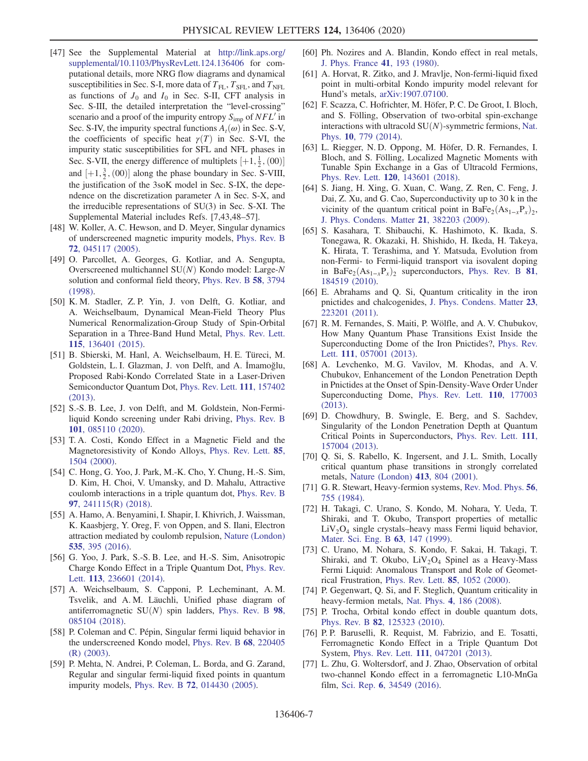- <span id="page-6-0"></span>[47] See the Supplemental Material at [http://link.aps.org/](http://link.aps.org/supplemental/10.1103/PhysRevLett.124.136406) [supplemental/10.1103/PhysRevLett.124.136406](http://link.aps.org/supplemental/10.1103/PhysRevLett.124.136406) for computational details, more NRG flow diagrams and dynamical susceptibilities in Sec. S-I, more data of  $T_{\text{FL}}$ ,  $T_{\text{SFL}}$ , and  $T_{\text{NET}}$ as functions of  $J_0$  and  $I_0$  in Sec. S-II, CFT analysis in Sec. S-III, the detailed interpretation the "level-crossing" scenario and a proof of the impurity entropy  $S_{\text{imp}}$  of  $NFL'$  in Sec. S-IV, the impurity spectral functions  $A_t(\omega)$  in Sec. S-V, the coefficients of specific heat  $\gamma(T)$  in Sec. S-VI, the impurity static susceptibilities for SFL and NFL phases in Sec. S-VII, the energy difference of multiplets  $[+1, \frac{1}{2}, (00)]$ <br>and  $[+1, \frac{3}{2}, (00)]$  along the phase boundary in Sec. S.VIII and  $[+1, \frac{3}{2}, (00)]$  along the phase boundary in Sec. S-VIII,<br>the instituction of the 3soK model in Sec. S-IX, the dang the justification of the 3soK model in Sec. S-IX, the dependence on the discretization parameter  $\Lambda$  in Sec. S-X, and the irreducible representations of SU(3) in Sec. S-XI. The Supplemental Material includes Refs. [7,43,48–57].
- <span id="page-6-1"></span>[48] W. Koller, A. C. Hewson, and D. Meyer, Singular dynamics of underscreened magnetic impurity models, [Phys. Rev. B](https://doi.org/10.1103/PhysRevB.72.045117) 72[, 045117 \(2005\).](https://doi.org/10.1103/PhysRevB.72.045117)
- <span id="page-6-3"></span>[49] O. Parcollet, A. Georges, G. Kotliar, and A. Sengupta, Overscreened multichannel  $SU(N)$  Kondo model: Large-N solution and conformal field theory, [Phys. Rev. B](https://doi.org/10.1103/PhysRevB.58.3794) 58, 3794 [\(1998\).](https://doi.org/10.1103/PhysRevB.58.3794)
- [50] K. M. Stadler, Z. P. Yin, J. von Delft, G. Kotliar, and A. Weichselbaum, Dynamical Mean-Field Theory Plus Numerical Renormalization-Group Study of Spin-Orbital Separation in a Three-Band Hund Metal, [Phys. Rev. Lett.](https://doi.org/10.1103/PhysRevLett.115.136401) 115[, 136401 \(2015\).](https://doi.org/10.1103/PhysRevLett.115.136401)
- [51] B. Sbierski, M. Hanl, A. Weichselbaum, H. E. Türeci, M. Goldstein, L. I. Glazman, J. von Delft, and A. İmamoğlu, Proposed Rabi-Kondo Correlated State in a Laser-Driven Semiconductor Quantum Dot, [Phys. Rev. Lett.](https://doi.org/10.1103/PhysRevLett.111.157402) 111, 157402 [\(2013\).](https://doi.org/10.1103/PhysRevLett.111.157402)
- [52] S.-S. B. Lee, J. von Delft, and M. Goldstein, Non-Fermiliquid Kondo screening under Rabi driving, [Phys. Rev. B](https://doi.org/10.1103/PhysRevB.101.085110) 101[, 085110 \(2020\).](https://doi.org/10.1103/PhysRevB.101.085110)
- [53] T. A. Costi, Kondo Effect in a Magnetic Field and the Magnetoresistivity of Kondo Alloys, [Phys. Rev. Lett.](https://doi.org/10.1103/PhysRevLett.85.1504) 85, [1504 \(2000\)](https://doi.org/10.1103/PhysRevLett.85.1504).
- [54] C. Hong, G. Yoo, J. Park, M.-K. Cho, Y. Chung, H.-S. Sim, D. Kim, H. Choi, V. Umansky, and D. Mahalu, Attractive coulomb interactions in a triple quantum dot, [Phys. Rev. B](https://doi.org/10.1103/PhysRevB.97.241115) 97[, 241115\(R\) \(2018\)](https://doi.org/10.1103/PhysRevB.97.241115).
- [55] A. Hamo, A. Benyamini, I. Shapir, I. Khivrich, J. Waissman, K. Kaasbjerg, Y. Oreg, F. von Oppen, and S. Ilani, Electron attraction mediated by coulomb repulsion, [Nature \(London\)](https://doi.org/10.1038/nature18639) 535[, 395 \(2016\)](https://doi.org/10.1038/nature18639).
- [56] G. Yoo, J. Park, S.-S. B. Lee, and H.-S. Sim, Anisotropic Charge Kondo Effect in a Triple Quantum Dot, [Phys. Rev.](https://doi.org/10.1103/PhysRevLett.113.236601) Lett. 113[, 236601 \(2014\)](https://doi.org/10.1103/PhysRevLett.113.236601).
- [57] A. Weichselbaum, S. Capponi, P. Lecheminant, A. M. Tsvelik, and A. M. Läuchli, Unified phase diagram of antiferromagnetic  $SU(N)$  spin ladders, [Phys. Rev. B](https://doi.org/10.1103/PhysRevB.98.085104) 98, [085104 \(2018\).](https://doi.org/10.1103/PhysRevB.98.085104)
- <span id="page-6-2"></span>[58] P. Coleman and C. Pépin, Singular fermi liquid behavior in the underscreened Kondo model, [Phys. Rev. B](https://doi.org/10.1103/PhysRevB.68.220405) 68, 220405 [\(R\) \(2003\).](https://doi.org/10.1103/PhysRevB.68.220405)
- [59] P. Mehta, N. Andrei, P. Coleman, L. Borda, and G. Zarand, Regular and singular fermi-liquid fixed points in quantum impurity models, Phys. Rev. B 72[, 014430 \(2005\).](https://doi.org/10.1103/PhysRevB.72.014430)
- <span id="page-6-4"></span>[60] Ph. Nozires and A. Blandin, Kondo effect in real metals, [J. Phys. France](https://doi.org/10.1051/jphys:01980004103019300) 41, 193 (1980).
- <span id="page-6-5"></span>[61] A. Horvat, R. Zitko, and J. Mravlje, Non-fermi-liquid fixed point in multi-orbital Kondo impurity model relevant for Hund's metals, [arXiv:1907.07100.](https://arXiv.org/abs/1907.07100)
- <span id="page-6-6"></span>[62] F. Scazza, C. Hofrichter, M. Höfer, P. C. De Groot, I. Bloch, and S. Fölling, Observation of two-orbital spin-exchange interactions with ultracold  $SU(N)$ -symmetric fermions, [Nat.](https://doi.org/10.1038/nphys3061) Phys. 10[, 779 \(2014\).](https://doi.org/10.1038/nphys3061)
- [63] L. Riegger, N. D. Oppong, M. Höfer, D. R. Fernandes, I. Bloch, and S. Fölling, Localized Magnetic Moments with Tunable Spin Exchange in a Gas of Ultracold Fermions, Phys. Rev. Lett. 120[, 143601 \(2018\).](https://doi.org/10.1103/PhysRevLett.120.143601)
- [64] S. Jiang, H. Xing, G. Xuan, C. Wang, Z. Ren, C. Feng, J. Dai, Z. Xu, and G. Cao, Superconductivity up to 30 k in the vicinity of the quantum critical point in BaFe<sub>2</sub>(As<sub>1−x</sub>P<sub>x</sub>)<sub>2</sub>, [J. Phys. Condens. Matter](https://doi.org/10.1088/0953-8984/21/38/382203) 21, 382203 (2009).
- [65] S. Kasahara, T. Shibauchi, K. Hashimoto, K. Ikada, S. Tonegawa, R. Okazaki, H. Shishido, H. Ikeda, H. Takeya, K. Hirata, T. Terashima, and Y. Matsuda, Evolution from non-Fermi- to Fermi-liquid transport via isovalent doping in BaFe<sub>2</sub>(As<sub>1-x</sub>P<sub>x</sub>)<sub>2</sub> superconductors, [Phys. Rev. B](https://doi.org/10.1103/PhysRevB.81.184519) **81**, [184519 \(2010\).](https://doi.org/10.1103/PhysRevB.81.184519)
- [66] E. Abrahams and Q. Si, Quantum criticality in the iron pnictides and chalcogenides, [J. Phys. Condens. Matter](https://doi.org/10.1088/0953-8984/23/22/223201) 23, [223201 \(2011\).](https://doi.org/10.1088/0953-8984/23/22/223201)
- <span id="page-6-7"></span>[67] R. M. Fernandes, S. Maiti, P. Wölfle, and A. V. Chubukov, How Many Quantum Phase Transitions Exist Inside the Superconducting Dome of the Iron Pnictides?, [Phys. Rev.](https://doi.org/10.1103/PhysRevLett.111.057001) Lett. 111[, 057001 \(2013\)](https://doi.org/10.1103/PhysRevLett.111.057001).
- [68] A. Levchenko, M. G. Vavilov, M. Khodas, and A. V. Chubukov, Enhancement of the London Penetration Depth in Pnictides at the Onset of Spin-Density-Wave Order Under Superconducting Dome, [Phys. Rev. Lett.](https://doi.org/10.1103/PhysRevLett.110.177003) 110, 177003 [\(2013\).](https://doi.org/10.1103/PhysRevLett.110.177003)
- [69] D. Chowdhury, B. Swingle, E. Berg, and S. Sachdev, Singularity of the London Penetration Depth at Quantum Critical Points in Superconductors, [Phys. Rev. Lett.](https://doi.org/10.1103/PhysRevLett.111.157004) 111, [157004 \(2013\).](https://doi.org/10.1103/PhysRevLett.111.157004)
- <span id="page-6-8"></span>[70] Q. Si, S. Rabello, K. Ingersent, and J. L. Smith, Locally critical quantum phase transitions in strongly correlated metals, [Nature \(London\)](https://doi.org/10.1038/35101507) 413, 804 (2001).
- <span id="page-6-9"></span>[71] G. R. Stewart, Heavy-fermion systems, [Rev. Mod. Phys.](https://doi.org/10.1103/RevModPhys.56.755) 56, [755 \(1984\)](https://doi.org/10.1103/RevModPhys.56.755).
- [72] H. Takagi, C. Urano, S. Kondo, M. Nohara, Y. Ueda, T. Shiraki, and T. Okubo, Transport properties of metallic  $LiV<sub>2</sub>O<sub>4</sub>$  single crystals–heavy mass Fermi liquid behavior, [Mater. Sci. Eng. B](https://doi.org/10.1016/S0921-5107(99)00065-3) 63, 147 (1999).
- [73] C. Urano, M. Nohara, S. Kondo, F. Sakai, H. Takagi, T. Shiraki, and T. Okubo,  $\text{LiV}_2\text{O}_4$  Spinel as a Heavy-Mass Fermi Liquid: Anomalous Transport and Role of Geometrical Frustration, [Phys. Rev. Lett.](https://doi.org/10.1103/PhysRevLett.85.1052) 85, 1052 (2000).
- [74] P. Gegenwart, Q. Si, and F. Steglich, Quantum criticality in heavy-fermion metals, Nat. Phys. 4[, 186 \(2008\)](https://doi.org/10.1038/nphys892).
- <span id="page-6-10"></span>[75] P. Trocha, Orbital kondo effect in double quantum dots, Phys. Rev. B 82[, 125323 \(2010\).](https://doi.org/10.1103/PhysRevB.82.125323)
- [76] P. P. Baruselli, R. Requist, M. Fabrizio, and E. Tosatti, Ferromagnetic Kondo Effect in a Triple Quantum Dot System, Phys. Rev. Lett. 111[, 047201 \(2013\)](https://doi.org/10.1103/PhysRevLett.111.047201).
- [77] L. Zhu, G. Woltersdorf, and J. Zhao, Observation of orbital two-channel Kondo effect in a ferromagnetic L10-MnGa film, Sci. Rep. 6[, 34549 \(2016\)](https://doi.org/10.1038/srep34549).